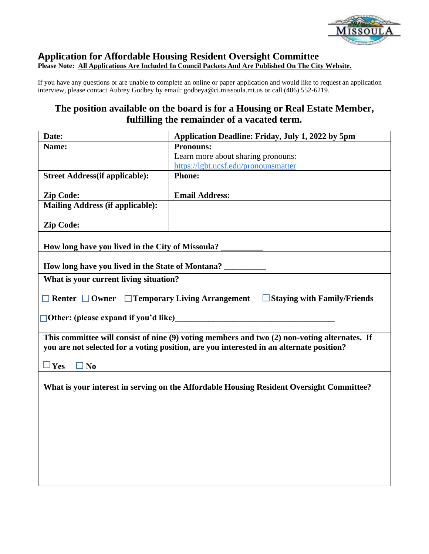

## **Application for Affordable Housing Resident Oversight Committee Please Note: All Applications Are Included In Council Packets And Are Published On The City Website***.*

If you have any questions or are unable to complete an online or paper application and would like to request an application interview, please contact Aubrey Godbey by email: godbeya@ci.missoula.mt.us or call (406) 552-6219.

## **The position available on the board is for a Housing or Real Estate Member, fulfilling the remainder of a vacated term.**

| Date:                                                                                                                                                                                    | Application Deadline: Friday, July 1, 2022 by 5pm |  |
|------------------------------------------------------------------------------------------------------------------------------------------------------------------------------------------|---------------------------------------------------|--|
| Name:                                                                                                                                                                                    | <b>Pronouns:</b>                                  |  |
|                                                                                                                                                                                          | Learn more about sharing pronouns:                |  |
|                                                                                                                                                                                          | https://lgbt.ucsf.edu/pronounsmatter              |  |
| <b>Street Address</b> (if applicable):                                                                                                                                                   | <b>Phone:</b>                                     |  |
| <b>Zip Code:</b>                                                                                                                                                                         | <b>Email Address:</b>                             |  |
| <b>Mailing Address (if applicable):</b>                                                                                                                                                  |                                                   |  |
| <b>Zip Code:</b>                                                                                                                                                                         |                                                   |  |
| How long have you lived in the City of Missoula?                                                                                                                                         |                                                   |  |
| How long have you lived in the State of Montana?                                                                                                                                         |                                                   |  |
| What is your current living situation?                                                                                                                                                   |                                                   |  |
| $\Box$ Temporary Living Arrangement $\Box$ Staying with Family/Friends<br>$\Box$ Renter $\Box$ Owner                                                                                     |                                                   |  |
| $\Box$ Other: (please expand if you'd like)                                                                                                                                              |                                                   |  |
| This committee will consist of nine (9) voting members and two (2) non-voting alternates. If<br>you are not selected for a voting position, are you interested in an alternate position? |                                                   |  |
| $\Box$ Yes<br>$\square$ No                                                                                                                                                               |                                                   |  |
| What is your interest in serving on the Affordable Housing Resident Oversight Committee?                                                                                                 |                                                   |  |
|                                                                                                                                                                                          |                                                   |  |
|                                                                                                                                                                                          |                                                   |  |
|                                                                                                                                                                                          |                                                   |  |
|                                                                                                                                                                                          |                                                   |  |
|                                                                                                                                                                                          |                                                   |  |
|                                                                                                                                                                                          |                                                   |  |
|                                                                                                                                                                                          |                                                   |  |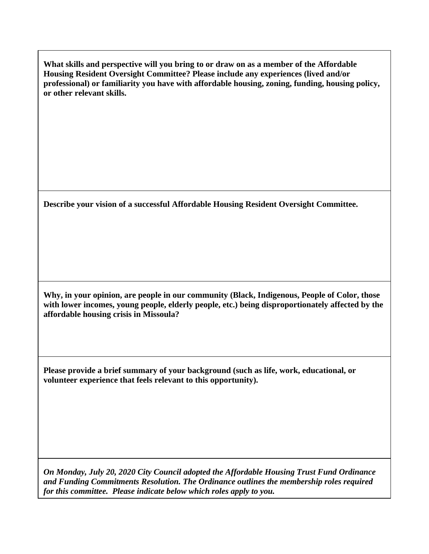**What skills and perspective will you bring to or draw on as a member of the Affordable Housing Resident Oversight Committee? Please include any experiences (lived and/or professional) or familiarity you have with affordable housing, zoning, funding, housing policy, or other relevant skills.**

**Describe your vision of a successful Affordable Housing Resident Oversight Committee.**

**Why, in your opinion, are people in our community (Black, Indigenous, People of Color, those with lower incomes, young people, elderly people, etc.) being disproportionately affected by the affordable housing crisis in Missoula?**

**Please provide a brief summary of your background (such as life, work, educational, or volunteer experience that feels relevant to this opportunity).**

*On Monday, July 20, 2020 City Council adopted the Affordable Housing Trust Fund Ordinance and Funding Commitments Resolution. The Ordinance outlines the membership roles required for this committee. Please indicate below which roles apply to you.*